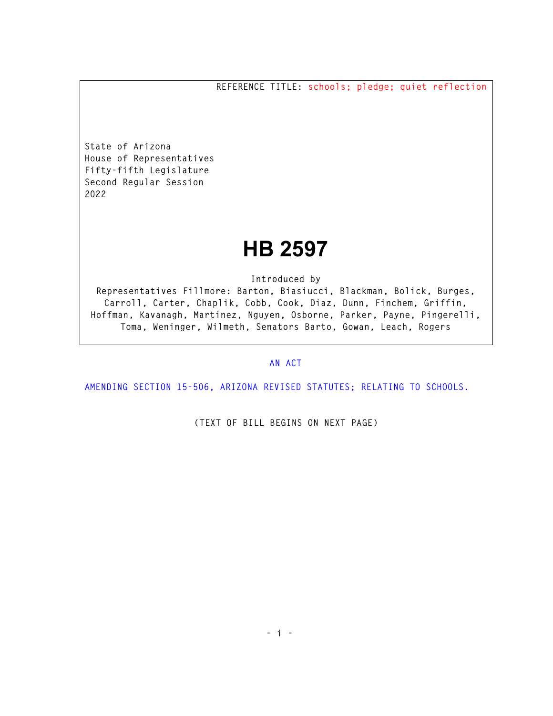**REFERENCE TITLE: schools; pledge; quiet reflection** 

**State of Arizona House of Representatives Fifty-fifth Legislature Second Regular Session 2022** 

## **HB 2597**

**Introduced by** 

**Representatives Fillmore: Barton, Biasiucci, Blackman, Bolick, Burges, Carroll, Carter, Chaplik, Cobb, Cook, Diaz, Dunn, Finchem, Griffin, Hoffman, Kavanagh, Martinez, Nguyen, Osborne, Parker, Payne, Pingerelli, Toma, Weninger, Wilmeth, Senators Barto, Gowan, Leach, Rogers** 

## **AN ACT**

**AMENDING SECTION 15-506, ARIZONA REVISED STATUTES; RELATING TO SCHOOLS.** 

**(TEXT OF BILL BEGINS ON NEXT PAGE)**